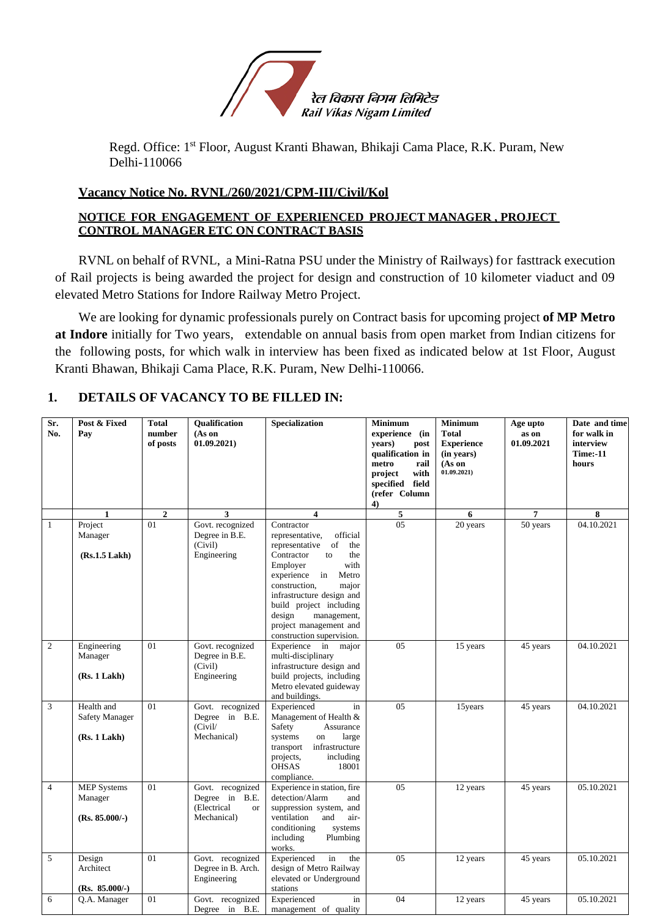

Regd. Office: 1<sup>st</sup> Floor, August Kranti Bhawan, Bhikaji Cama Place, R.K. Puram, New Delhi-110066

## **Vacancy Notice No. RVNL/260/2021/CPM-III/Civil/Kol**

### **NOTICE FOR ENGAGEMENT OF EXPERIENCED PROJECT MANAGER , PROJECT CONTROL MANAGER ETC ON CONTRACT BASIS**

RVNL on behalf of RVNL, a Mini-Ratna PSU under the Ministry of Railways) for fasttrack execution of Rail projects is being awarded the project for design and construction of 10 kilometer viaduct and 09 elevated Metro Stations for Indore Railway Metro Project.

We are looking for dynamic professionals purely on Contract basis for upcoming project **of MP Metro at Indore** initially for Two years, extendable on annual basis from open market from Indian citizens for the following posts, for which walk in interview has been fixed as indicated below at 1st Floor, August Kranti Bhawan, Bhikaji Cama Place, R.K. Puram, New Delhi-110066.

## **1. DETAILS OF VACANCY TO BE FILLED IN:**

| Sr.<br>No.     | Post & Fixed<br>Pay                                 | <b>Total</b><br>number<br>of posts | <b>Oualification</b><br>(As on<br>01.09.2021)                                 | Specialization                                                                                                                                                                                                                                                                                        | <b>Minimum</b><br>experience (in<br>vears)<br>post<br>qualification in<br>metro<br>rail<br>with<br>project<br>specified field<br>(refer Column<br>$\overline{4}$ | <b>Minimum</b><br><b>Total</b><br><b>Experience</b><br>(in years)<br>(As on<br>01.09.2021) | Age upto<br>as on<br>01.09.2021 | Date and time<br>for walk in<br>interview<br><b>Time:-11</b><br>hours |
|----------------|-----------------------------------------------------|------------------------------------|-------------------------------------------------------------------------------|-------------------------------------------------------------------------------------------------------------------------------------------------------------------------------------------------------------------------------------------------------------------------------------------------------|------------------------------------------------------------------------------------------------------------------------------------------------------------------|--------------------------------------------------------------------------------------------|---------------------------------|-----------------------------------------------------------------------|
|                | $\mathbf{1}$                                        | $\overline{2}$<br>01               | 3                                                                             | $\overline{\mathbf{4}}$<br>Contractor                                                                                                                                                                                                                                                                 | 5<br>05                                                                                                                                                          | 6                                                                                          | 7                               | 8<br>04.10.2021                                                       |
| $\mathbf{1}$   | Project<br>Manager<br>(Rs.1.5 Lakh)                 |                                    | Govt. recognized<br>Degree in B.E.<br>(Civil)<br>Engineering                  | representative,<br>official<br>representative<br>of<br>the<br>Contractor<br>the<br>to<br>Employer<br>with<br>experience in<br>Metro<br>construction,<br>major<br>infrastructure design and<br>build project including<br>design<br>management,<br>project management and<br>construction supervision. |                                                                                                                                                                  | 20 years                                                                                   | 50 years                        |                                                                       |
| $\mathfrak{2}$ | Engineering<br>Manager<br>(Rs. 1 Lakh)              | 01                                 | Govt. recognized<br>Degree in B.E.<br>(Civil)<br>Engineering                  | Experience in<br>major<br>multi-disciplinary<br>infrastructure design and<br>build projects, including<br>Metro elevated guideway<br>and buildings.                                                                                                                                                   | 05                                                                                                                                                               | 15 years                                                                                   | 45 years                        | 04.10.2021                                                            |
| 3              | Health and<br><b>Safety Manager</b><br>(Rs. 1 Lakh) | $\overline{01}$                    | Govt. recognized<br>Degree in B.E.<br>(Civil/<br>Mechanical)                  | Experienced<br>in<br>Management of Health &<br>Safety<br>Assurance<br>systems<br>large<br>on<br>infrastructure<br>transport<br>projects,<br>including<br><b>OHSAS</b><br>18001<br>compliance.                                                                                                         | $\overline{05}$                                                                                                                                                  | 15years                                                                                    | 45 years                        | 04.10.2021                                                            |
| $\overline{4}$ | <b>MEP</b> Systems<br>Manager<br>$(Rs. 85.000/-)$   | 01                                 | Govt. recognized<br>Degree in B.E.<br>(Electrical<br><b>or</b><br>Mechanical) | Experience in station, fire<br>detection/Alarm<br>and<br>suppression system, and<br>ventilation<br>and<br>air-<br>conditioning<br>systems<br>including<br>Plumbing<br>works.                                                                                                                          | 05                                                                                                                                                               | 12 years                                                                                   | 45 years                        | 05.10.2021                                                            |
| 5              | Design<br>Architect<br>$(Rs. 85.000/-)$             | 01                                 | Govt. recognized<br>Degree in B. Arch.<br>Engineering                         | Experienced<br>in<br>the<br>design of Metro Railway<br>elevated or Underground<br>stations                                                                                                                                                                                                            | 05                                                                                                                                                               | 12 years                                                                                   | 45 years                        | 05.10.2021                                                            |
| 6              | Q.A. Manager                                        | 01                                 | Govt. recognized<br>Degree in B.E.                                            | Experienced<br>in<br>management of quality                                                                                                                                                                                                                                                            | 04                                                                                                                                                               | 12 years                                                                                   | 45 years                        | 05.10.2021                                                            |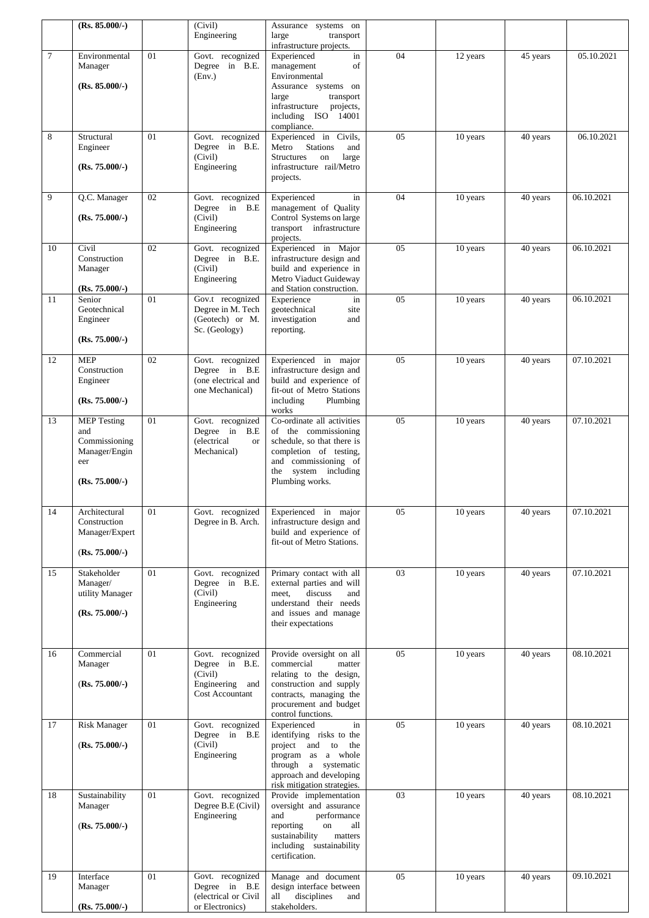|        | $(Rs. 85.000/-)$                                                                       |    | (Civil)<br>Engineering                                                              | Assurance systems on<br>large<br>transport                                                                                                                                                |    |          |          |            |
|--------|----------------------------------------------------------------------------------------|----|-------------------------------------------------------------------------------------|-------------------------------------------------------------------------------------------------------------------------------------------------------------------------------------------|----|----------|----------|------------|
|        |                                                                                        |    |                                                                                     | infrastructure projects.                                                                                                                                                                  |    |          |          |            |
| $\tau$ | Environmental<br>Manager<br>$(Rs. 85.000/-)$                                           | 01 | Govt. recognized<br>Degree in B.E.<br>(Env.)                                        | Experienced<br>in<br>management<br>of<br>Environmental<br>Assurance systems on<br>transport<br>large<br>infrastructure<br>projects,<br>including ISO 14001                                | 04 | 12 years | 45 years | 05.10.2021 |
| 8      | Structural<br>Engineer<br>$(Rs. 75.000/-)$                                             | 01 | Govt. recognized<br>Degree in B.E.<br>(Civil)<br>Engineering                        | compliance.<br>Experienced in Civils,<br><b>Stations</b><br>Metro<br>and<br><b>Structures</b><br>on<br>large<br>infrastructure rail/Metro<br>projects.                                    | 05 | 10 years | 40 years | 06.10.2021 |
| 9      | Q.C. Manager<br>$(Rs. 75.000/-)$                                                       | 02 | Govt. recognized<br>Degree in B.E<br>(Civil)<br>Engineering                         | Experienced<br>in<br>management of Quality<br>Control Systems on large<br>transport infrastructure<br>projects.                                                                           | 04 | 10 years | 40 years | 06.10.2021 |
| 10     | Civil<br>Construction<br>Manager<br>$(Rs. 75.000/-)$                                   | 02 | Govt. recognized<br>Degree in B.E.<br>(Civil)<br>Engineering                        | Experienced in Major<br>infrastructure design and<br>build and experience in<br>Metro Viaduct Guideway<br>and Station construction.                                                       | 05 | 10 years | 40 years | 06.10.2021 |
| 11     | Senior<br>Geotechnical<br>Engineer<br>$(Rs. 75.000/-)$                                 | 01 | Gov.t recognized<br>Degree in M. Tech<br>(Geotech) or M.<br>Sc. (Geology)           | Experience<br>in<br>geotechnical<br>site<br>investigation<br>and<br>reporting.                                                                                                            | 05 | 10 years | 40 years | 06.10.2021 |
| 12     | <b>MEP</b><br>Construction<br>Engineer<br>$(Rs. 75.000/-)$                             | 02 | Govt. recognized<br>Degree in B.E<br>(one electrical and<br>one Mechanical)         | Experienced in major<br>infrastructure design and<br>build and experience of<br>fit-out of Metro Stations<br>including<br>Plumbing                                                        | 05 | 10 years | 40 years | 07.10.2021 |
| 13     | <b>MEP Testing</b><br>and<br>Commissioning<br>Manager/Engin<br>eer<br>$(Rs. 75.000/-)$ | 01 | Govt. recognized<br>Degree in B.E<br>(electrical<br><b>or</b><br>Mechanical)        | works<br>Co-ordinate all activities<br>of the commissioning<br>schedule, so that there is<br>completion of testing,<br>and commissioning of<br>system including<br>the<br>Plumbing works. | 05 | 10 years | 40 years | 07.10.2021 |
| 14     | Architectural<br>Construction<br>Manager/Expert<br>$(Rs. 75.000/-)$                    | 01 | Govt. recognized<br>Degree in B. Arch.                                              | Experienced in major<br>infrastructure design and<br>build and experience of<br>fit-out of Metro Stations.                                                                                | 05 | 10 years | 40 years | 07.10.2021 |
| 15     | Stakeholder<br>Manager/<br>utility Manager<br>$(Rs. 75.000/-)$                         | 01 | Govt. recognized<br>Degree in B.E.<br>(Civil)<br>Engineering                        | Primary contact with all<br>external parties and will<br>discuss<br>meet,<br>and<br>understand their needs<br>and issues and manage<br>their expectations                                 | 03 | 10 years | 40 years | 07.10.2021 |
| 16     | Commercial<br>Manager<br>$(Rs. 75.000/-)$                                              | 01 | Govt. recognized<br>Degree in B.E.<br>(Civil)<br>Engineering and<br>Cost Accountant | Provide oversight on all<br>commercial<br>matter<br>relating to the design,<br>construction and supply<br>contracts, managing the<br>procurement and budget<br>control functions.         | 05 | 10 years | 40 years | 08.10.2021 |
| 17     | <b>Risk Manager</b><br>$(Rs. 75.000/-)$                                                | 01 | Govt. recognized<br>Degree in B.E<br>(Civil)<br>Engineering                         | Experienced<br>in<br>identifying risks to the<br>project and to<br>the<br>program as a whole<br>through a systematic<br>approach and developing<br>risk mitigation strategies.            | 05 | 10 years | 40 years | 08.10.2021 |
| 18     | Sustainability<br>Manager<br>$(Rs. 75.000/-)$                                          | 01 | Govt. recognized<br>Degree B.E (Civil)<br>Engineering                               | Provide implementation<br>oversight and assurance<br>and<br>performance<br>reporting<br>on<br>all<br>sustainability<br>matters<br>including sustainability<br>certification.              | 03 | 10 years | 40 years | 08.10.2021 |
| 19     | Interface<br>Manager<br>$(Rs. 75.000/-)$                                               | 01 | Govt. recognized<br>Degree in B.E<br>(electrical or Civil<br>or Electronics)        | Manage and document<br>design interface between<br>disciplines<br>all<br>and<br>stakeholders.                                                                                             | 05 | 10 years | 40 years | 09.10.2021 |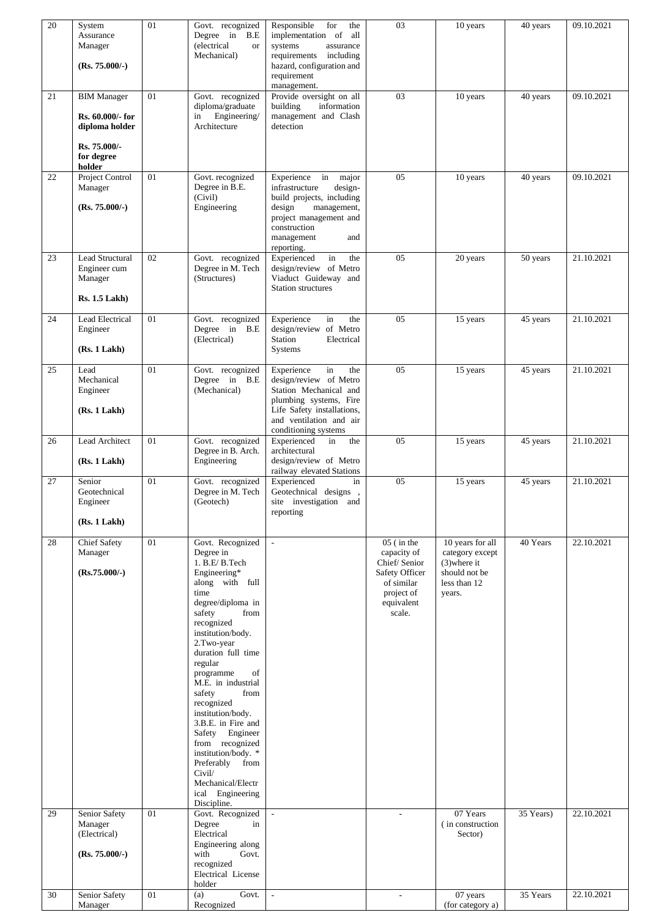| 20       | System<br>Assurance<br>Manager<br>$(Rs. 75.000/-)$                 | 01       | Govt. recognized<br>Degree in B.E<br>(electrical<br><b>or</b><br>Mechanical)                                                                                                                                                                                                                                                                                                                                                                                                                                 | Responsible<br>for<br>the<br>implementation of all<br>systems<br>assurance<br>requirements<br>including<br>hazard, configuration and<br>requirement<br>management.                     | 03                                                                                                                                            | 10 years                                                                                                     | 40 years              | 09.10.2021               |
|----------|--------------------------------------------------------------------|----------|--------------------------------------------------------------------------------------------------------------------------------------------------------------------------------------------------------------------------------------------------------------------------------------------------------------------------------------------------------------------------------------------------------------------------------------------------------------------------------------------------------------|----------------------------------------------------------------------------------------------------------------------------------------------------------------------------------------|-----------------------------------------------------------------------------------------------------------------------------------------------|--------------------------------------------------------------------------------------------------------------|-----------------------|--------------------------|
| 21       | <b>BIM Manager</b><br>Rs. 60.000/- for<br>diploma holder           | 01       | Govt. recognized<br>diploma/graduate<br>Engineering/<br>in<br>Architecture                                                                                                                                                                                                                                                                                                                                                                                                                                   | Provide oversight on all<br>building<br>information<br>management and Clash<br>detection                                                                                               | 03                                                                                                                                            | 10 years                                                                                                     | 40 years              | 09.10.2021               |
|          | Rs. 75.000/-<br>for degree<br>holder                               |          |                                                                                                                                                                                                                                                                                                                                                                                                                                                                                                              |                                                                                                                                                                                        |                                                                                                                                               |                                                                                                              |                       |                          |
| 22       | Project Control<br>Manager<br>$(Rs. 75.000/-)$                     | 01       | Govt. recognized<br>Degree in B.E.<br>(Civil)<br>Engineering                                                                                                                                                                                                                                                                                                                                                                                                                                                 | Experience in<br>major<br>infrastructure<br>design-<br>build projects, including<br>design<br>management,<br>project management and<br>construction<br>and<br>management<br>reporting. | 05                                                                                                                                            | 10 years                                                                                                     | 40 years              | 09.10.2021               |
| 23       | Lead Structural<br>Engineer cum<br>Manager<br><b>Rs. 1.5 Lakh)</b> | 02       | Govt. recognized<br>Degree in M. Tech<br>(Structures)                                                                                                                                                                                                                                                                                                                                                                                                                                                        | in<br>Experienced<br>the<br>design/review of Metro<br>Viaduct Guideway and<br><b>Station structures</b>                                                                                | 05                                                                                                                                            | 20 years                                                                                                     | 50 years              | 21.10.2021               |
| 24       | Lead Electrical<br>Engineer<br>(Rs. 1 Lakh)                        | 01       | Govt. recognized<br>Degree in B.E<br>(Electrical)                                                                                                                                                                                                                                                                                                                                                                                                                                                            | Experience<br>in<br>the<br>design/review of Metro<br>Station<br>Electrical<br>Systems                                                                                                  | 05                                                                                                                                            | 15 years                                                                                                     | 45 years              | 21.10.2021               |
| 25       | Lead<br>Mechanical<br>Engineer<br>(Rs. 1 Lakh)                     | 01       | Govt. recognized<br>Degree in B.E<br>(Mechanical)                                                                                                                                                                                                                                                                                                                                                                                                                                                            | Experience<br>in<br>the<br>design/review of Metro<br>Station Mechanical and<br>plumbing systems, Fire<br>Life Safety installations,<br>and ventilation and air<br>conditioning systems | 05                                                                                                                                            | 15 years                                                                                                     | 45 years              | 21.10.2021               |
| 26       | Lead Architect<br>(Rs. 1 Lakh)                                     | 01       | Govt. recognized<br>Degree in B. Arch.<br>Engineering                                                                                                                                                                                                                                                                                                                                                                                                                                                        | Experienced<br>in<br>the<br>architectural<br>design/review of Metro<br>railway elevated Stations                                                                                       | 05                                                                                                                                            | 15 years                                                                                                     | 45 years              | 21.10.2021               |
| 27       | Senior<br>Geotechnical<br>Engineer<br>(Rs. 1 Lakh)                 | 01       | Govt. recognized<br>Degree in M. Tech<br>(Geotech)                                                                                                                                                                                                                                                                                                                                                                                                                                                           | Experienced<br>in<br>Geotechnical designs,<br>site investigation and<br>reporting                                                                                                      | 05                                                                                                                                            | 15 years                                                                                                     | 45 years              | 21.10.2021               |
| 28<br>29 | <b>Chief Safety</b><br>Manager<br>$(Rs.75.000/-)$<br>Senior Safety | 01<br>01 | Govt. Recognized<br>Degree in<br>1. B.E/B.Tech<br>Engineering*<br>along with full<br>time<br>degree/diploma in<br>safety<br>from<br>recognized<br>institution/body.<br>2.Two-year<br>duration full time<br>regular<br>of<br>programme<br>M.E. in industrial<br>safety<br>from<br>recognized<br>institution/body.<br>3.B.E. in Fire and<br>Safety Engineer<br>from recognized<br>institution/body. *<br>Preferably from<br>Civil/<br>Mechanical/Electr<br>ical Engineering<br>Discipline.<br>Govt. Recognized | $\sim$                                                                                                                                                                                 | $05$ (in the<br>capacity of<br>Chief/Senior<br>Safety Officer<br>of similar<br>project of<br>equivalent<br>scale.<br>$\overline{\phantom{a}}$ | 10 years for all<br>category except<br>$(3)$ where it<br>should not be<br>less than 12<br>years.<br>07 Years | 40 Years<br>35 Years) | 22.10.2021<br>22.10.2021 |
|          | Manager<br>(Electrical)<br>(Rs. 75.000/-)                          |          | Degree<br>in<br>Electrical<br>Engineering along<br>with<br>Govt.<br>recognized<br>Electrical License<br>holder                                                                                                                                                                                                                                                                                                                                                                                               |                                                                                                                                                                                        |                                                                                                                                               | (in construction<br>Sector)                                                                                  |                       |                          |
| 30       | Senior Safety<br>Manager                                           | 01       | Govt.<br>(a)<br>Recognized                                                                                                                                                                                                                                                                                                                                                                                                                                                                                   | $\sim$                                                                                                                                                                                 | $\overline{\phantom{a}}$                                                                                                                      | 07 years<br>(for category a)                                                                                 | 35 Years              | 22.10.2021               |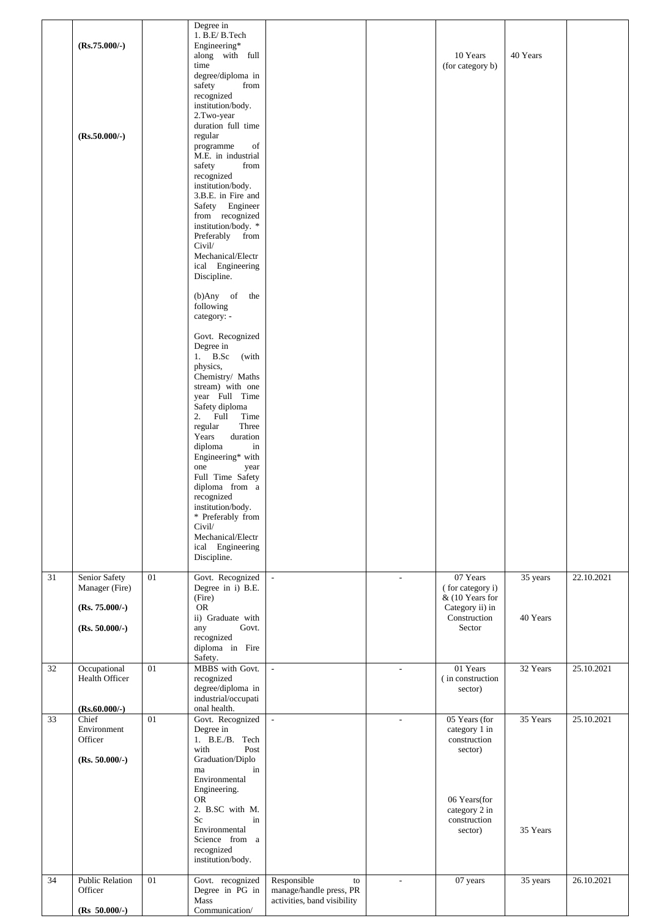|    | $(Rs.75.000/-)$<br>$(Rs.50.000/-)$   |    | Degree in<br>1. B.E/B.Tech<br>Engineering*<br>along with full<br>time<br>degree/diploma in<br>safety<br>from<br>recognized<br>institution/body.<br>2.Two-year<br>duration full time<br>regular<br>of<br>programme<br>M.E. in industrial<br>safety<br>from<br>recognized<br>institution/body.<br>3.B.E. in Fire and<br>Safety Engineer<br>from recognized<br>institution/body. *<br>Preferably from<br>Civil/<br>Mechanical/Electr<br>ical Engineering<br>Discipline.<br>$(b)$ Any of<br>the<br>following<br>category: -<br>Govt. Recognized<br>Degree in<br>1. B.Sc<br>(with<br>physics,<br>Chemistry/ Maths<br>stream) with one<br>year Full Time<br>Safety diploma<br>Full<br>2.<br>Time<br>regular<br>Three<br>Years<br>duration<br>diploma<br>in<br>Engineering* with<br>one<br>year<br>Full Time Safety<br>diploma from a<br>recognized<br>institution/body.<br>* Preferably from<br>Civil/<br>Mechanical/Electr<br>ical Engineering<br>Discipline. |                                              |                          | 10 Years<br>(for category b)                                 | 40 Years              |            |
|----|--------------------------------------|----|----------------------------------------------------------------------------------------------------------------------------------------------------------------------------------------------------------------------------------------------------------------------------------------------------------------------------------------------------------------------------------------------------------------------------------------------------------------------------------------------------------------------------------------------------------------------------------------------------------------------------------------------------------------------------------------------------------------------------------------------------------------------------------------------------------------------------------------------------------------------------------------------------------------------------------------------------------|----------------------------------------------|--------------------------|--------------------------------------------------------------|-----------------------|------------|
| 31 | Senior Safety<br>Manager (Fire)      | 01 | Govt. Recognized<br>Degree in i) B.E.                                                                                                                                                                                                                                                                                                                                                                                                                                                                                                                                                                                                                                                                                                                                                                                                                                                                                                                    | $\mathcal{L}$                                | $\overline{\phantom{a}}$ | 07 Years<br>(for category i)                                 | $\overline{35}$ years | 22.10.2021 |
|    | $(Rs. 75.000/-)$<br>$(Rs. 50.000/-)$ |    | (Fire)<br><b>OR</b><br>ii) Graduate with<br>Govt.<br>any<br>recognized<br>diploma in Fire<br>Safety.                                                                                                                                                                                                                                                                                                                                                                                                                                                                                                                                                                                                                                                                                                                                                                                                                                                     |                                              |                          | & (10 Years for<br>Category ii) in<br>Construction<br>Sector | 40 Years              |            |
| 32 | Occupational<br>Health Officer       | 01 | MBBS with Govt.<br>recognized<br>degree/diploma in<br>industrial/occupati                                                                                                                                                                                                                                                                                                                                                                                                                                                                                                                                                                                                                                                                                                                                                                                                                                                                                | $\mathbb{Z}^2$                               | $\overline{\phantom{a}}$ | 01 Years<br>(in construction)<br>sector)                     | 32 Years              | 25.10.2021 |
| 33 | $(Rs.60.000/-)$<br>Chief             | 01 | onal health.<br>Govt. Recognized                                                                                                                                                                                                                                                                                                                                                                                                                                                                                                                                                                                                                                                                                                                                                                                                                                                                                                                         | $\Box$                                       | $\blacksquare$           | 05 Years (for                                                | 35 Years              | 25.10.2021 |
|    | Environment<br>Officer               |    | Degree in<br>1. B.E./B. Tech                                                                                                                                                                                                                                                                                                                                                                                                                                                                                                                                                                                                                                                                                                                                                                                                                                                                                                                             |                                              |                          | category 1 in<br>construction                                |                       |            |
|    | $(Rs. 50.000/-)$                     |    | with<br>Post<br>Graduation/Diplo<br>in<br>ma                                                                                                                                                                                                                                                                                                                                                                                                                                                                                                                                                                                                                                                                                                                                                                                                                                                                                                             |                                              |                          | sector)                                                      |                       |            |
|    |                                      |    | Environmental<br>Engineering.                                                                                                                                                                                                                                                                                                                                                                                                                                                                                                                                                                                                                                                                                                                                                                                                                                                                                                                            |                                              |                          |                                                              |                       |            |
|    |                                      |    | <b>OR</b><br>2. B.SC with M.                                                                                                                                                                                                                                                                                                                                                                                                                                                                                                                                                                                                                                                                                                                                                                                                                                                                                                                             |                                              |                          | 06 Years(for<br>category 2 in                                |                       |            |
|    |                                      |    | Sc<br>in<br>Environmental<br>Science from a<br>recognized<br>institution/body.                                                                                                                                                                                                                                                                                                                                                                                                                                                                                                                                                                                                                                                                                                                                                                                                                                                                           |                                              |                          | construction<br>sector)                                      | 35 Years              |            |
| 34 | <b>Public Relation</b><br>Officer    | 01 | Govt. recognized<br>Degree in PG in                                                                                                                                                                                                                                                                                                                                                                                                                                                                                                                                                                                                                                                                                                                                                                                                                                                                                                                      | Responsible<br>to<br>manage/handle press, PR |                          | 07 years                                                     | 35 years              | 26.10.2021 |
|    | $(Rs 50.000/-)$                      |    | Mass<br>Communication/                                                                                                                                                                                                                                                                                                                                                                                                                                                                                                                                                                                                                                                                                                                                                                                                                                                                                                                                   | activities, band visibility                  |                          |                                                              |                       |            |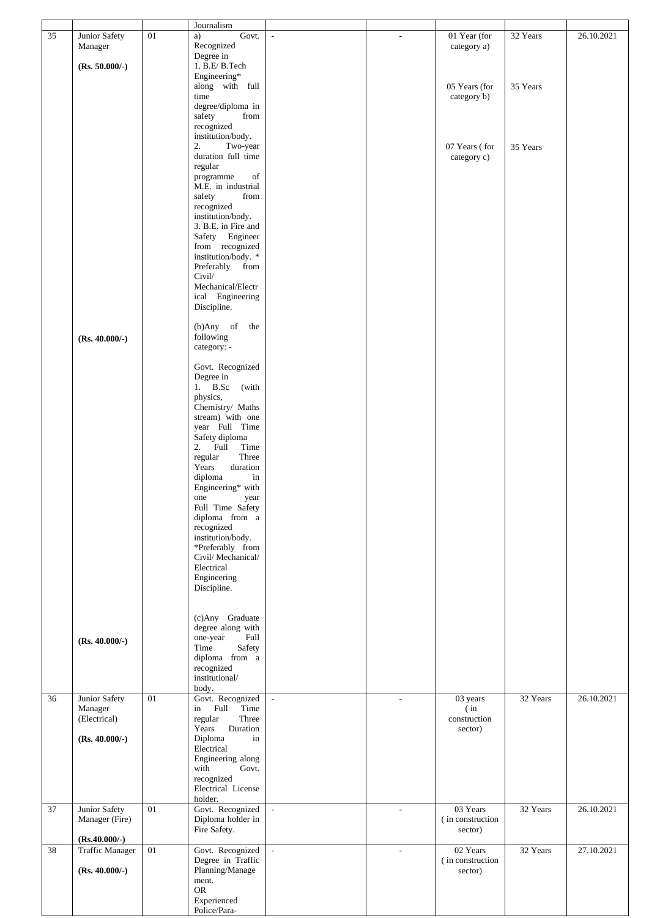|    |                                           |    | Journalism                                          |               |        |                              |          |            |
|----|-------------------------------------------|----|-----------------------------------------------------|---------------|--------|------------------------------|----------|------------|
| 35 | Junior Safety<br>Manager                  | 01 | Govt.<br>a)<br>Recognized                           | $\mathcal{L}$ | ÷      | 01 Year (for<br>category a)  | 32 Years | 26.10.2021 |
|    | $(Rs. 50.000/-)$                          |    | Degree in<br>$1.$ B.E/ $\operatorname{B}.$ Tech     |               |        |                              |          |            |
|    |                                           |    | Engineering*                                        |               |        |                              |          |            |
|    |                                           |    | along with full<br>time                             |               |        | 05 Years (for<br>category b) | 35 Years |            |
|    |                                           |    | degree/diploma in                                   |               |        |                              |          |            |
|    |                                           |    | safety<br>from<br>recognized                        |               |        |                              |          |            |
|    |                                           |    | institution/body.                                   |               |        |                              |          |            |
|    |                                           |    | 2.<br>Two-year<br>duration full time                |               |        | 07 Years (for                | 35 Years |            |
|    |                                           |    | regular                                             |               |        | category c)                  |          |            |
|    |                                           |    | programme<br>$_{\mathrm{of}}$<br>M.E. in industrial |               |        |                              |          |            |
|    |                                           |    | safety<br>from                                      |               |        |                              |          |            |
|    |                                           |    | recognized<br>institution/body.                     |               |        |                              |          |            |
|    |                                           |    | 3. B.E. in Fire and                                 |               |        |                              |          |            |
|    |                                           |    | Safety Engineer<br>from recognized                  |               |        |                              |          |            |
|    |                                           |    | institution/body. *                                 |               |        |                              |          |            |
|    |                                           |    | Preferably from<br>Civil/                           |               |        |                              |          |            |
|    |                                           |    | Mechanical/Electr                                   |               |        |                              |          |            |
|    |                                           |    | ical Engineering<br>Discipline.                     |               |        |                              |          |            |
|    |                                           |    |                                                     |               |        |                              |          |            |
|    | $(Rs. 40.000/-)$                          |    | the<br>$(b)$ Any of<br>following                    |               |        |                              |          |            |
|    |                                           |    | category: -                                         |               |        |                              |          |            |
|    |                                           |    | Govt. Recognized                                    |               |        |                              |          |            |
|    |                                           |    | Degree in<br>1. B.Sc<br>(with                       |               |        |                              |          |            |
|    |                                           |    | physics,<br>Chemistry/ Maths                        |               |        |                              |          |            |
|    |                                           |    | stream) with one                                    |               |        |                              |          |            |
|    |                                           |    | year Full Time<br>Safety diploma                    |               |        |                              |          |            |
|    |                                           |    | 2. Full<br>Time                                     |               |        |                              |          |            |
|    |                                           |    | Three<br>regular<br>duration<br>Years               |               |        |                              |          |            |
|    |                                           |    | diploma<br>in                                       |               |        |                              |          |            |
|    |                                           |    | Engineering* with<br>one<br>year                    |               |        |                              |          |            |
|    |                                           |    | Full Time Safety                                    |               |        |                              |          |            |
|    |                                           |    | diploma from a<br>recognized                        |               |        |                              |          |            |
|    |                                           |    | institution/body.<br>*Preferably from               |               |        |                              |          |            |
|    |                                           |    | Civil/Mechanical/                                   |               |        |                              |          |            |
|    |                                           |    | Electrical<br>Engineering                           |               |        |                              |          |            |
|    |                                           |    | Discipline.                                         |               |        |                              |          |            |
|    |                                           |    |                                                     |               |        |                              |          |            |
|    |                                           |    | (c)Any Graduate                                     |               |        |                              |          |            |
|    | $(Rs. 40.000/-)$                          |    | degree along with<br>one-year<br>Full               |               |        |                              |          |            |
|    |                                           |    | Time<br>Safety                                      |               |        |                              |          |            |
|    |                                           |    | diploma from a<br>recognized                        |               |        |                              |          |            |
|    |                                           |    | institutional/                                      |               |        |                              |          |            |
| 36 | Junior Safety                             | 01 | body.<br>Govt. Recognized                           | $\sim$        | ÷      | 03 years                     | 32 Years | 26.10.2021 |
|    | Manager<br>(Electrical)                   |    | Full<br>Time<br>in<br>regular<br>Three              |               |        | (in)<br>construction         |          |            |
|    |                                           |    | Duration<br>Years                                   |               |        | sector)                      |          |            |
|    | $(Rs. 40.000/-)$                          |    | Diploma<br>in<br>Electrical                         |               |        |                              |          |            |
|    |                                           |    | Engineering along<br>with<br>Govt.                  |               |        |                              |          |            |
|    |                                           |    | recognized                                          |               |        |                              |          |            |
|    |                                           |    | Electrical License<br>holder.                       |               |        |                              |          |            |
| 37 | Junior Safety                             | 01 | Govt. Recognized                                    | ÷.            | $\sim$ | 03 Years                     | 32 Years | 26.10.2021 |
|    | Manager (Fire)                            |    | Diploma holder in<br>Fire Safety.                   |               |        | (in construction<br>sector)  |          |            |
| 38 | $(Rs.40.000/-)$<br><b>Traffic Manager</b> | 01 | Govt. Recognized                                    | $\sim$        | $\sim$ | 02 Years                     | 32 Years | 27.10.2021 |
|    |                                           |    | Degree in Traffic                                   |               |        | (in construction             |          |            |
|    | $(Rs. 40.000/-)$                          |    | Planning/Manage<br>ment.                            |               |        | sector)                      |          |            |
|    |                                           |    | <b>OR</b>                                           |               |        |                              |          |            |
|    |                                           |    | Experienced<br>Police/Para-                         |               |        |                              |          |            |
|    |                                           |    |                                                     |               |        |                              |          |            |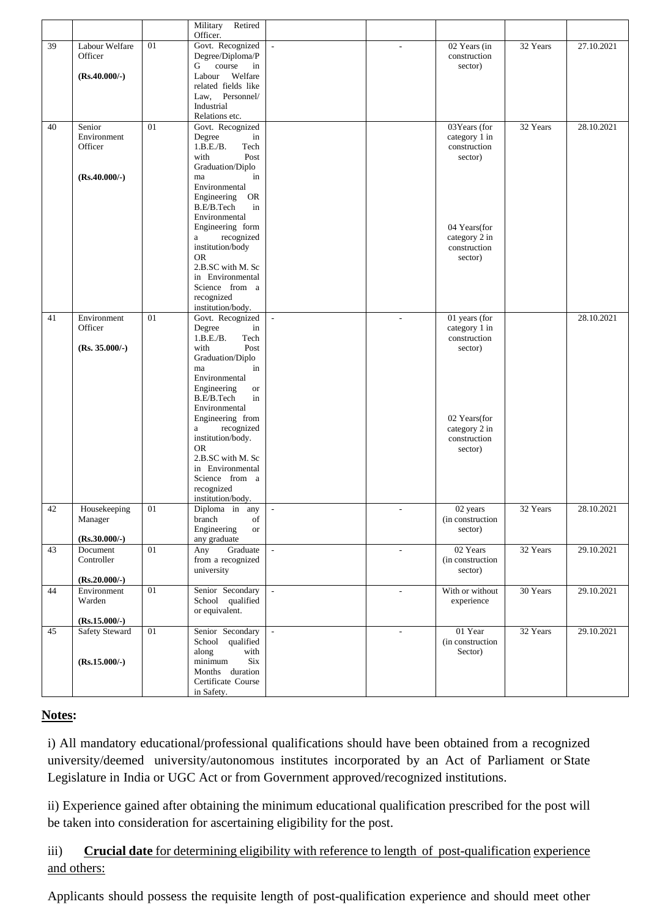|    |                        |        | Military<br>Retired<br>Officer.      |        |                          |                               |          |            |
|----|------------------------|--------|--------------------------------------|--------|--------------------------|-------------------------------|----------|------------|
| 39 | Labour Welfare         | 01     | Govt. Recognized                     |        |                          | 02 Years (in                  | 32 Years | 27.10.2021 |
|    | Officer                |        | Degree/Diploma/P                     |        |                          | construction                  |          |            |
|    |                        |        | course<br>G<br>in                    |        |                          | sector)                       |          |            |
|    | $(Rs.40.000/-)$        |        | Welfare<br>Labour                    |        |                          |                               |          |            |
|    |                        |        | related fields like                  |        |                          |                               |          |            |
|    |                        |        | Law, Personnel/<br>Industrial        |        |                          |                               |          |            |
|    |                        |        | Relations etc.                       |        |                          |                               |          |            |
| 40 | Senior                 | 01     | Govt. Recognized                     |        |                          | 03Years (for                  | 32 Years | 28.10.2021 |
|    | Environment            |        | Degree<br>in                         |        |                          | category 1 in                 |          |            |
|    | Officer                |        | 1.B.E.B.<br>Tech                     |        |                          | construction                  |          |            |
|    |                        |        | with<br>Post                         |        |                          | sector)                       |          |            |
|    |                        |        | Graduation/Diplo                     |        |                          |                               |          |            |
|    | $(Rs.40.000/-)$        |        | in<br>ma<br>Environmental            |        |                          |                               |          |            |
|    |                        |        | <b>OR</b><br>Engineering             |        |                          |                               |          |            |
|    |                        |        | B.E/B.Tech<br>in                     |        |                          |                               |          |            |
|    |                        |        | Environmental                        |        |                          |                               |          |            |
|    |                        |        | Engineering form                     |        |                          | 04 Years(for                  |          |            |
|    |                        |        | recognized<br>a                      |        |                          | category 2 in                 |          |            |
|    |                        |        | institution/body<br><b>OR</b>        |        |                          | construction                  |          |            |
|    |                        |        | 2.B.SC with M. Sc                    |        |                          | sector)                       |          |            |
|    |                        |        | in Environmental                     |        |                          |                               |          |            |
|    |                        |        | Science from a                       |        |                          |                               |          |            |
|    |                        |        | recognized                           |        |                          |                               |          |            |
|    |                        |        | institution/body.                    |        |                          |                               |          |            |
| 41 | Environment            | 01     | Govt. Recognized                     | $\sim$ | ٠                        | 01 years (for                 |          | 28.10.2021 |
|    | Officer                |        | Degree<br>in<br>1.B.E.B.<br>Tech     |        |                          | category 1 in<br>construction |          |            |
|    | $(Rs. 35.000/-)$       |        | Post<br>with                         |        |                          | sector)                       |          |            |
|    |                        |        | Graduation/Diplo                     |        |                          |                               |          |            |
|    |                        |        | in<br>ma                             |        |                          |                               |          |            |
|    |                        |        | Environmental                        |        |                          |                               |          |            |
|    |                        |        | Engineering<br><b>or</b>             |        |                          |                               |          |            |
|    |                        |        | in<br>B.E/B.Tech                     |        |                          |                               |          |            |
|    |                        |        | Environmental<br>Engineering from    |        |                          | 02 Years(for                  |          |            |
|    |                        |        | recognized<br>a                      |        |                          | category 2 in                 |          |            |
|    |                        |        | institution/body.                    |        |                          | construction                  |          |            |
|    |                        |        | <b>OR</b>                            |        |                          | sector)                       |          |            |
|    |                        |        | 2.B.SC with M. Sc                    |        |                          |                               |          |            |
|    |                        |        | in Environmental                     |        |                          |                               |          |            |
|    |                        |        | Science from a<br>recognized         |        |                          |                               |          |            |
|    |                        |        | institution/body.                    |        |                          |                               |          |            |
| 42 | Housekeeping           | $01\,$ | Diploma in any                       |        |                          | 02 years                      | 32 Years | 28.10.2021 |
|    | Manager                |        | branch<br>of                         |        |                          | (in construction              |          |            |
|    |                        |        | Engineering<br><b>or</b>             |        |                          | sector)                       |          |            |
|    | $(Rs.30.000/-)$        |        | any graduate                         |        |                          |                               |          |            |
| 43 | Document<br>Controller | 01     | Graduate<br>Any<br>from a recognized |        | $\overline{\phantom{a}}$ | 02 Years<br>(in construction  | 32 Years | 29.10.2021 |
|    |                        |        | university                           |        |                          | sector)                       |          |            |
|    | $(Rs.20.000/-)$        |        |                                      |        |                          |                               |          |            |
| 44 | Environment            | 01     | Senior Secondary                     |        | $\overline{\phantom{a}}$ | With or without               | 30 Years | 29.10.2021 |
|    | Warden                 |        | School qualified                     |        |                          | experience                    |          |            |
|    |                        |        | or equivalent.                       |        |                          |                               |          |            |
|    | $(Rs.15.000/-)$        |        |                                      |        |                          |                               |          |            |
| 45 | <b>Safety Steward</b>  | $01\,$ | Senior Secondary<br>School qualified | $\sim$ | $\overline{\phantom{a}}$ | 01 Year<br>(in construction   | 32 Years | 29.10.2021 |
|    |                        |        | along<br>with                        |        |                          | Sector)                       |          |            |
|    | $(Rs.15.000/-)$        |        | minimum<br><b>Six</b>                |        |                          |                               |          |            |
|    |                        |        | Months duration                      |        |                          |                               |          |            |
|    |                        |        | Certificate Course                   |        |                          |                               |          |            |
|    |                        |        | in Safety.                           |        |                          |                               |          |            |

## **Notes:**

i) All mandatory educational/professional qualifications should have been obtained from a recognized university/deemed university/autonomous institutes incorporated by an Act of Parliament or State Legislature in India or UGC Act or from Government approved/recognized institutions.

ii) Experience gained after obtaining the minimum educational qualification prescribed for the post will be taken into consideration for ascertaining eligibility for the post.

iii) **Crucial date** for determining eligibility with reference to length of post-qualification experience and others:

Applicants should possess the requisite length of post-qualification experience and should meet other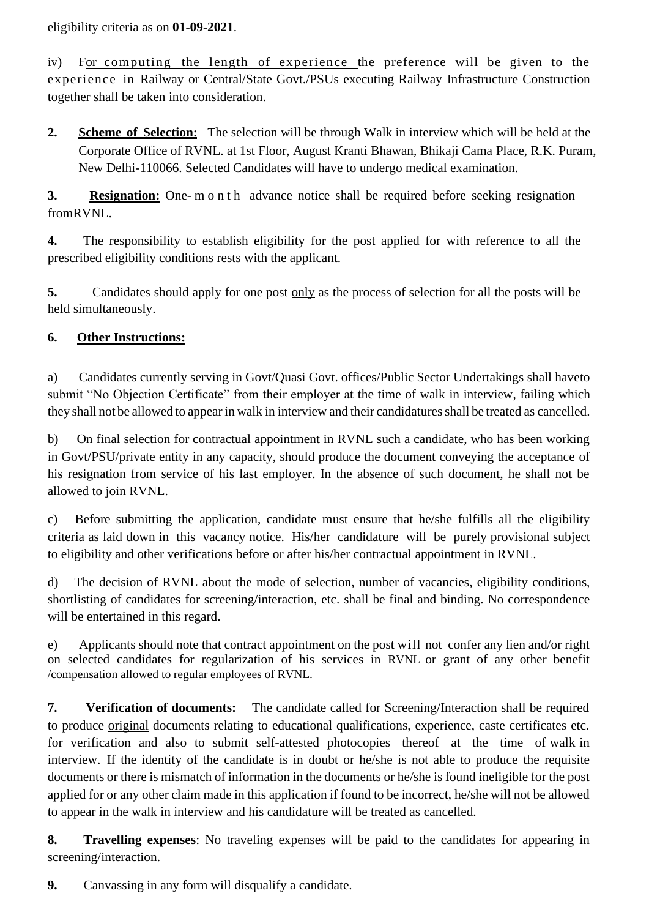eligibility criteria as on **01-09-2021**.

iv) For computing the length of experience the preference will be given to the experience in Railway or Central/State Govt./PSUs executing Railway Infrastructure Construction together shall be taken into consideration.

**2. Scheme of Selection:** The selection will be through Walk in interview which will be held at the Corporate Office of RVNL. at 1st Floor, August Kranti Bhawan, Bhikaji Cama Place, R.K. Puram, New Delhi-110066. Selected Candidates will have to undergo medical examination.

**3. Resignation:** One- m o n t h advance notice shall be required before seeking resignation fromRVNL.

**4.** The responsibility to establish eligibility for the post applied for with reference to all the prescribed eligibility conditions rests with the applicant.

**5.** Candidates should apply for one post only as the process of selection for all the posts will be held simultaneously.

# **6. Other Instructions:**

a) Candidates currently serving in Govt/Quasi Govt. offices/Public Sector Undertakings shall haveto submit "No Objection Certificate" from their employer at the time of walk in interview, failing which they shall not be allowed to appear in walk in interview and their candidatures shall be treated as cancelled.

b) On final selection for contractual appointment in RVNL such a candidate, who has been working in Govt/PSU/private entity in any capacity, should produce the document conveying the acceptance of his resignation from service of his last employer. In the absence of such document, he shall not be allowed to join RVNL.

c) Before submitting the application, candidate must ensure that he/she fulfills all the eligibility criteria as laid down in this vacancy notice. His/her candidature will be purely provisional subject to eligibility and other verifications before or after his/her contractual appointment in RVNL.

d) The decision of RVNL about the mode of selection, number of vacancies, eligibility conditions, shortlisting of candidates for screening/interaction, etc. shall be final and binding. No correspondence will be entertained in this regard.

e) Applicants should note that contract appointment on the post will not confer any lien and/or right on selected candidates for regularization of his services in RVNL or grant of any other benefit /compensation allowed to regular employees of RVNL.

**7. Verification of documents:** The candidate called for Screening/Interaction shall be required to produce original documents relating to educational qualifications, experience, caste certificates etc. for verification and also to submit self-attested photocopies thereof at the time of walk in interview. If the identity of the candidate is in doubt or he/she is not able to produce the requisite documents or there is mismatch of information in the documents or he/she is found ineligible for the post applied for or any other claim made in this application if found to be incorrect, he/she will not be allowed to appear in the walk in interview and his candidature will be treated as cancelled.

**8. Travelling expenses**: No traveling expenses will be paid to the candidates for appearing in screening/interaction.

**9.** Canvassing in any form will disqualify a candidate.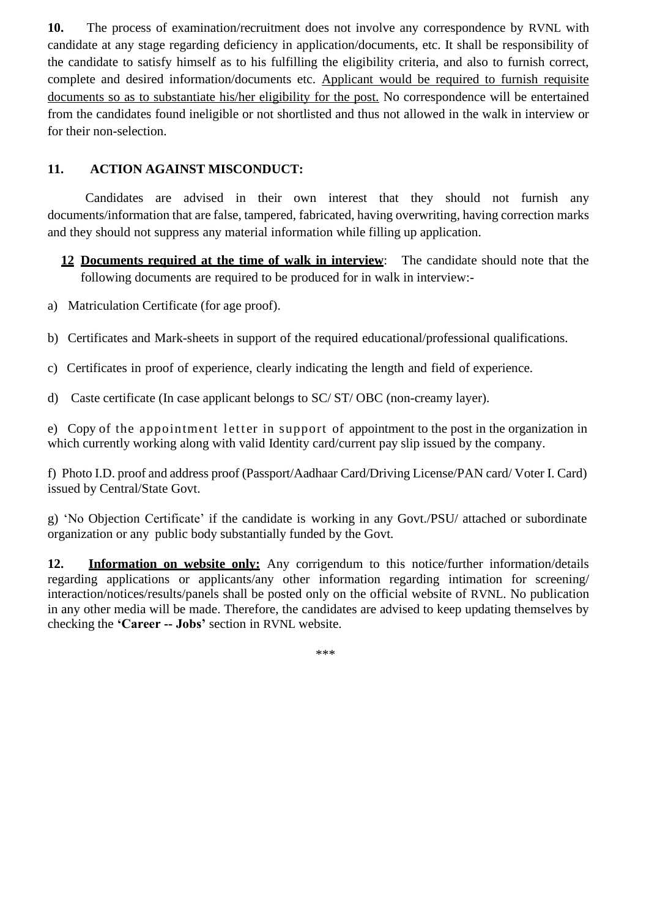**10.** The process of examination/recruitment does not involve any correspondence by RVNL with candidate at any stage regarding deficiency in application/documents, etc. It shall be responsibility of the candidate to satisfy himself as to his fulfilling the eligibility criteria, and also to furnish correct, complete and desired information/documents etc. Applicant would be required to furnish requisite documents so as to substantiate his/her eligibility for the post. No correspondence will be entertained from the candidates found ineligible or not shortlisted and thus not allowed in the walk in interview or for their non-selection.

## **11. ACTION AGAINST MISCONDUCT:**

Candidates are advised in their own interest that they should not furnish any documents/information that are false, tampered, fabricated, having overwriting, having correction marks and they should not suppress any material information while filling up application.

**12 Documents required at the time of walk in interview**: The candidate should note that the following documents are required to be produced for in walk in interview:-

- a) Matriculation Certificate (for age proof).
- b) Certificates and Mark-sheets in support of the required educational/professional qualifications.
- c) Certificates in proof of experience, clearly indicating the length and field of experience.
- d) Caste certificate (In case applicant belongs to SC/ ST/ OBC (non-creamy layer).

e) Copy of the appointment letter in support of appointment to the post in the organization in which currently working along with valid Identity card/current pay slip issued by the company.

f) Photo I.D. proof and address proof (Passport/Aadhaar Card/Driving License/PAN card/ Voter I. Card) issued by Central/State Govt.

g) 'No Objection Certificate' if the candidate is working in any Govt./PSU/ attached or subordinate organization or any public body substantially funded by the Govt.

**12. Information on website only:** Any corrigendum to this notice/further information/details regarding applications or applicants/any other information regarding intimation for screening/ interaction/notices/results/panels shall be posted only on the official website of RVNL. No publication in any other media will be made. Therefore, the candidates are advised to keep updating themselves by checking the **'Career -- Jobs'** section in RVNL website.

\*\*\*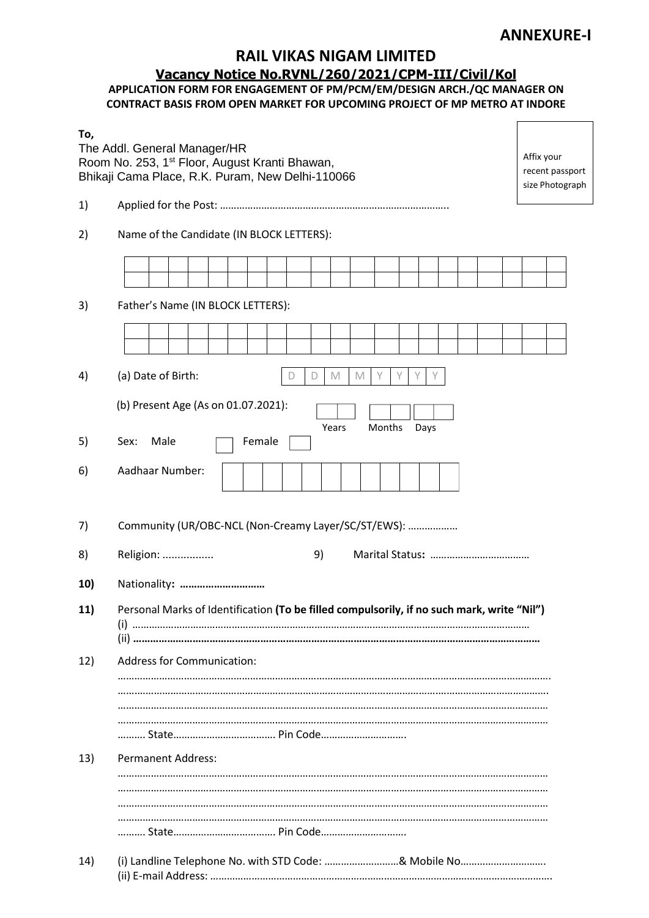## **ANNEXURE-I**

# **RAIL VIKAS NIGAM LIMITED**

## **Vacancy Notice No.RVNL/260/2021/CPM-III/Civil/Kol**

## **APPLICATION FORM FOR ENGAGEMENT OF PM/PCM/EM/DESIGN ARCH./QC MANAGER ON CONTRACT BASIS FROM OPEN MARKET FOR UPCOMING PROJECT OF MP METRO AT INDORE**

| To, | The Addl. General Manager/HR<br>Room No. 253, 1 <sup>st</sup> Floor, August Kranti Bhawan,<br>Bhikaji Cama Place, R.K. Puram, New Delhi-110066 | Affix your<br>recent passport<br>size Photograph |  |  |  |  |
|-----|------------------------------------------------------------------------------------------------------------------------------------------------|--------------------------------------------------|--|--|--|--|
| 1)  |                                                                                                                                                |                                                  |  |  |  |  |
| 2)  | Name of the Candidate (IN BLOCK LETTERS):                                                                                                      |                                                  |  |  |  |  |
|     |                                                                                                                                                |                                                  |  |  |  |  |
|     |                                                                                                                                                |                                                  |  |  |  |  |
| 3)  | Father's Name (IN BLOCK LETTERS):                                                                                                              |                                                  |  |  |  |  |
|     |                                                                                                                                                |                                                  |  |  |  |  |
| 4)  | (a) Date of Birth:<br>Υ<br>M<br>M<br>D                                                                                                         |                                                  |  |  |  |  |
|     | (b) Present Age (As on 01.07.2021):                                                                                                            |                                                  |  |  |  |  |
|     | Years<br>Months<br>Days                                                                                                                        |                                                  |  |  |  |  |
| 5)  | Male<br>Sex:<br>Female                                                                                                                         |                                                  |  |  |  |  |
| 6)  | Aadhaar Number:                                                                                                                                |                                                  |  |  |  |  |
| 7)  | Community (UR/OBC-NCL (Non-Creamy Layer/SC/ST/EWS):                                                                                            |                                                  |  |  |  |  |
| 8)  | Religion:<br>9)                                                                                                                                |                                                  |  |  |  |  |
| 10) | Nationality:                                                                                                                                   |                                                  |  |  |  |  |
| 11) | Personal Marks of Identification (To be filled compulsorily, if no such mark, write "Nil")                                                     |                                                  |  |  |  |  |
|     |                                                                                                                                                |                                                  |  |  |  |  |
| 12) | <b>Address for Communication:</b>                                                                                                              |                                                  |  |  |  |  |
|     |                                                                                                                                                |                                                  |  |  |  |  |
|     |                                                                                                                                                |                                                  |  |  |  |  |
|     |                                                                                                                                                |                                                  |  |  |  |  |
| 13) | <b>Permanent Address:</b>                                                                                                                      |                                                  |  |  |  |  |
|     |                                                                                                                                                |                                                  |  |  |  |  |
|     |                                                                                                                                                |                                                  |  |  |  |  |
|     |                                                                                                                                                |                                                  |  |  |  |  |
| 14) | (i) Landline Telephone No. with STD Code: & Mobile No                                                                                          |                                                  |  |  |  |  |
|     |                                                                                                                                                |                                                  |  |  |  |  |